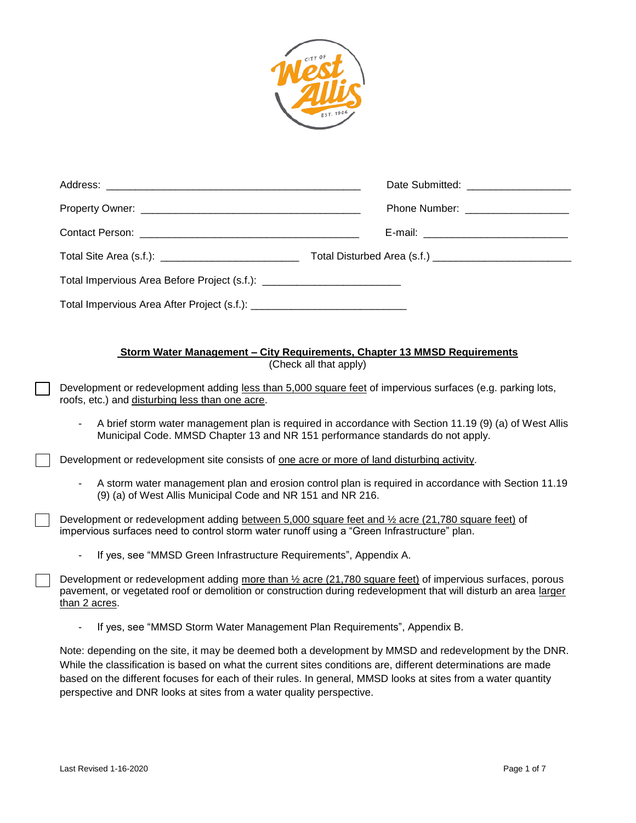

|                                                                                                                                                                                                                                                | Date Submitted: National Science of the Submitted: |  |
|------------------------------------------------------------------------------------------------------------------------------------------------------------------------------------------------------------------------------------------------|----------------------------------------------------|--|
|                                                                                                                                                                                                                                                | Phone Number: ___________________                  |  |
|                                                                                                                                                                                                                                                |                                                    |  |
|                                                                                                                                                                                                                                                |                                                    |  |
| Total Impervious Area Before Project (s.f.): ___________________________________                                                                                                                                                               |                                                    |  |
|                                                                                                                                                                                                                                                |                                                    |  |
|                                                                                                                                                                                                                                                |                                                    |  |
| <b>Storm Water Management - City Requirements, Chapter 13 MMSD Requirements</b><br>(Check all that apply)                                                                                                                                      |                                                    |  |
| Development or redevelopment adding less than 5,000 square feet of impervious surfaces (e.g. parking lots,<br>roofs, etc.) and disturbing less than one acre.                                                                                  |                                                    |  |
| A brief storm water management plan is required in accordance with Section 11.19 (9) (a) of West Allis<br>Municipal Code. MMSD Chapter 13 and NR 151 performance standards do not apply.                                                       |                                                    |  |
| Development or redevelopment site consists of one acre or more of land disturbing activity.                                                                                                                                                    |                                                    |  |
| A storm water management plan and erosion control plan is required in accordance with Section 11.19<br>(9) (a) of West Allis Municipal Code and NR 151 and NR 216.                                                                             |                                                    |  |
| Development or redevelopment adding between 5,000 square feet and 1/2 acre (21,780 square feet) of<br>impervious surfaces need to control storm water runoff using a "Green Infrastructure" plan.                                              |                                                    |  |
| If yes, see "MMSD Green Infrastructure Requirements", Appendix A.                                                                                                                                                                              |                                                    |  |
| Development or redevelopment adding more than 1/2 acre (21,780 square feet) of impervious surfaces, porous<br>pavement, or vegetated roof or demolition or construction during redevelopment that will disturb an area larger<br>than 2 acres. |                                                    |  |

- If yes, see "MMSD Storm Water Management Plan Requirements", Appendix B.

Note: depending on the site, it may be deemed both a development by MMSD and redevelopment by the DNR. While the classification is based on what the current sites conditions are, different determinations are made based on the different focuses for each of their rules. In general, MMSD looks at sites from a water quantity perspective and DNR looks at sites from a water quality perspective.

┓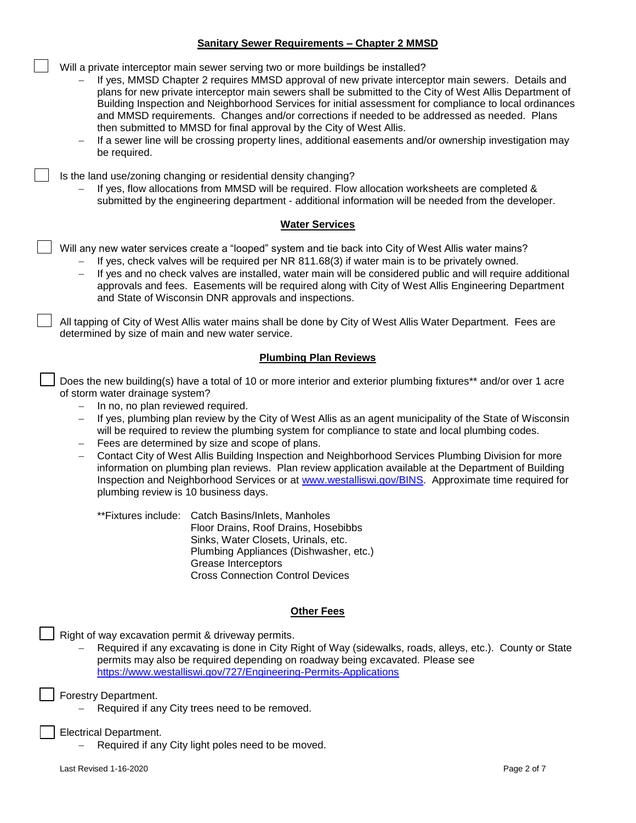### **Sanitary Sewer Requirements – Chapter 2 MMSD**

Will a private interceptor main sewer serving two or more buildings be installed?

- If yes, MMSD Chapter 2 requires MMSD approval of new private interceptor main sewers. Details and plans for new private interceptor main sewers shall be submitted to the City of West Allis Department of Building Inspection and Neighborhood Services for initial assessment for compliance to local ordinances and MMSD requirements. Changes and/or corrections if needed to be addressed as needed. Plans then submitted to MMSD for final approval by the City of West Allis.
- If a sewer line will be crossing property lines, additional easements and/or ownership investigation may be required.

Is the land use/zoning changing or residential density changing?

 If yes, flow allocations from MMSD will be required. Flow allocation worksheets are completed & submitted by the engineering department - additional information will be needed from the developer.

### **Water Services**

Will any new water services create a "looped" system and tie back into City of West Allis water mains?

- If yes, check valves will be required per NR 811.68(3) if water main is to be privately owned.
- If yes and no check valves are installed, water main will be considered public and will require additional approvals and fees. Easements will be required along with City of West Allis Engineering Department and State of Wisconsin DNR approvals and inspections.

All tapping of City of West Allis water mains shall be done by City of West Allis Water Department. Fees are determined by size of main and new water service.

## **Plumbing Plan Reviews**

Does the new building(s) have a total of 10 or more interior and exterior plumbing fixtures\*\* and/or over 1 acre of storm water drainage system?

- $-$  In no, no plan reviewed required.
- If yes, plumbing plan review by the City of West Allis as an agent municipality of the State of Wisconsin will be required to review the plumbing system for compliance to state and local plumbing codes.
- Fees are determined by size and scope of plans.
- Contact City of West Allis Building Inspection and Neighborhood Services Plumbing Division for more information on plumbing plan reviews. Plan review application available at the Department of Building Inspection and Neighborhood Services or at [www.westalliswi.gov/BINS.](http://www.westalliswi.gov/BINS) Approximate time required for plumbing review is 10 business days.

\*\*Fixtures include: Catch Basins/Inlets, Manholes Floor Drains, Roof Drains, Hosebibbs Sinks, Water Closets, Urinals, etc. Plumbing Appliances (Dishwasher, etc.) Grease Interceptors Cross Connection Control Devices

## **Other Fees**

Right of way excavation permit & driveway permits.

 Required if any excavating is done in City Right of Way (sidewalks, roads, alleys, etc.). County or State permits may also be required depending on roadway being excavated. Please see <https://www.westalliswi.gov/727/Engineering-Permits-Applications>

Forestry Department.

Required if any City trees need to be removed.

Electrical Department.

Required if any City light poles need to be moved.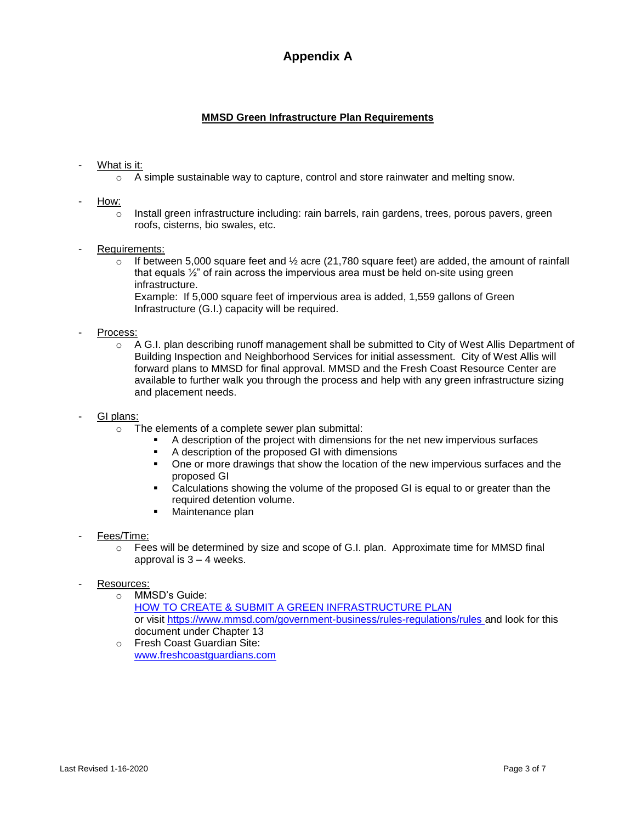# **Appendix A**

## **MMSD Green Infrastructure Plan Requirements**

## What is it:

- $\circ$  A simple sustainable way to capture, control and store rainwater and melting snow.
- How:
	- $\circ$  Install green infrastructure including: rain barrels, rain gardens, trees, porous pavers, green roofs, cisterns, bio swales, etc.

### - Requirements:

 $\circ$  If between 5,000 square feet and  $\frac{1}{2}$  acre (21,780 square feet) are added, the amount of rainfall that equals  $\frac{1}{2}$ " of rain across the impervious area must be held on-site using green infrastructure. Example: If 5,000 square feet of impervious area is added, 1,559 gallons of Green

Infrastructure (G.I.) capacity will be required.

### Process:

 $\circ$  A G.I. plan describing runoff management shall be submitted to City of West Allis Department of Building Inspection and Neighborhood Services for initial assessment. City of West Allis will forward plans to MMSD for final approval. MMSD and the Fresh Coast Resource Center are available to further walk you through the process and help with any green infrastructure sizing and placement needs.

### GI plans:

- o The elements of a complete sewer plan submittal:
	- A description of the project with dimensions for the net new impervious surfaces
	- A description of the proposed GI with dimensions
	- One or more drawings that show the location of the new impervious surfaces and the proposed GI
	- Calculations showing the volume of the proposed GI is equal to or greater than the required detention volume.
	- **Naintenance plan**
- Fees/Time:
	- $\circ$  Fees will be determined by size and scope of G.I. plan. Approximate time for MMSD final approval is  $3 - 4$  weeks.
- Resources:
	- o MMSD's Guide: [HOW TO CREATE & SUBMIT A GREEN INFRASTRUCTURE PLAN](https://www.mmsd.com/download_file/view/2186/340) or visit <https://www.mmsd.com/government-business/rules-regulations/rules> and look for this document under Chapter 13
	- o Fresh Coast Guardian Site: [www.freshcoastguardians.com](http://www.freshcoastguardians.com/)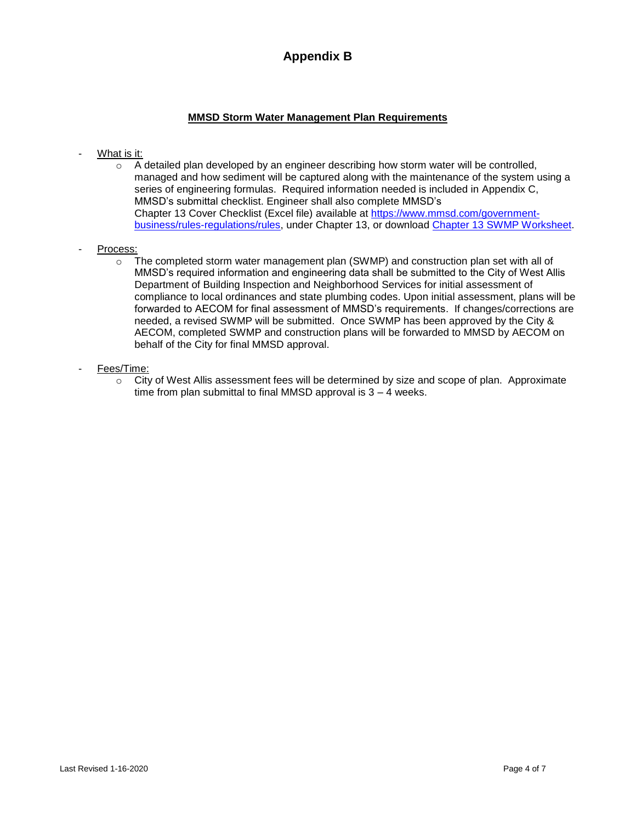# **Appendix B**

## **MMSD Storm Water Management Plan Requirements**

- What is it:
	- o A detailed plan developed by an engineer describing how storm water will be controlled, managed and how sediment will be captured along with the maintenance of the system using a series of engineering formulas. Required information needed is included in Appendix C, MMSD's submittal checklist. Engineer shall also complete MMSD's Chapter 13 Cover Checklist (Excel file) available at [https://www.mmsd.com/government](https://www.mmsd.com/government-business/rules-regulations/rules)[business/rules-regulations/rules,](https://www.mmsd.com/government-business/rules-regulations/rules) under Chapter 13, or download [Chapter 13 SWMP Worksheet.](https://www.mmsd.com/download_file/view/2347/340)
- Process:
	- $\circ$  The completed storm water management plan (SWMP) and construction plan set with all of MMSD's required information and engineering data shall be submitted to the City of West Allis Department of Building Inspection and Neighborhood Services for initial assessment of compliance to local ordinances and state plumbing codes. Upon initial assessment, plans will be forwarded to AECOM for final assessment of MMSD's requirements. If changes/corrections are needed, a revised SWMP will be submitted. Once SWMP has been approved by the City & AECOM, completed SWMP and construction plans will be forwarded to MMSD by AECOM on behalf of the City for final MMSD approval.
- Fees/Time:
	- $\circ$  City of West Allis assessment fees will be determined by size and scope of plan. Approximate time from plan submittal to final MMSD approval is 3 – 4 weeks.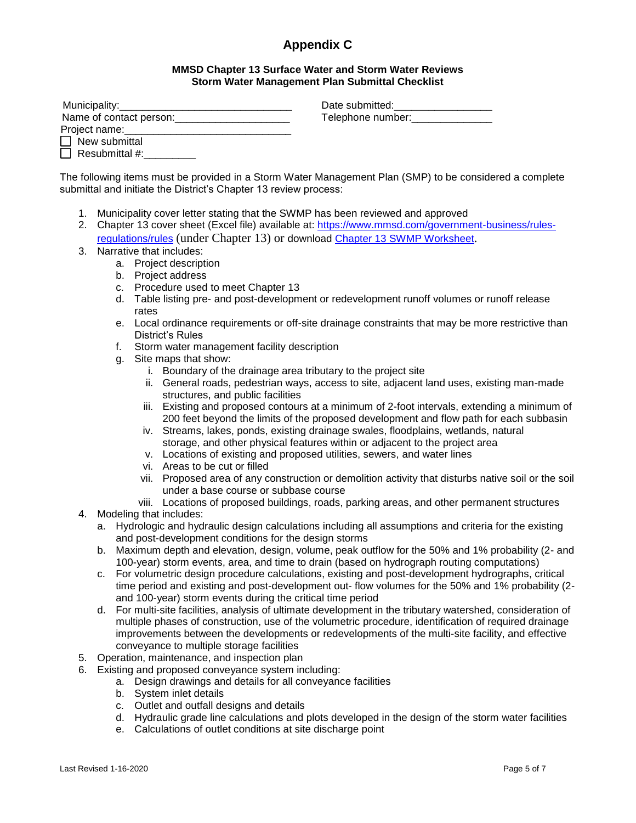# **Appendix C**

### **MMSD Chapter 13 Surface Water and Storm Water Reviews Storm Water Management Plan Submittal Checklist**

| Municipality:           |  |
|-------------------------|--|
| Name of contact person: |  |
| Project name:           |  |
| $\Box$ New submittal    |  |
| Resubmittal #:          |  |

Date submitted: Telephone number:

The following items must be provided in a Storm Water Management Plan (SMP) to be considered a complete submittal and initiate the District's Chapter 13 review process:

- 1. Municipality cover letter stating that the SWMP has been reviewed and approved
- 2. Chapter 13 cover sheet (Excel file) available at: [https://www.mmsd.com/government-business/rules](https://www.mmsd.com/government-business/rules-regulations/rules)[regulations/rules](https://www.mmsd.com/government-business/rules-regulations/rules) (under Chapter 13) or download [Chapter 13 SWMP Worksheet](https://www.mmsd.com/download_file/view/2347/340).
- 3. Narrative that includes:
	- a. Project description
	- b. Project address
	- c. Procedure used to meet Chapter 13
	- d. Table listing pre- and post-development or redevelopment runoff volumes or runoff release rates
	- e. Local ordinance requirements or off-site drainage constraints that may be more restrictive than District's Rules
	- f. Storm water management facility description
	- g. Site maps that show:
		- i. Boundary of the drainage area tributary to the project site
		- ii. General roads, pedestrian ways, access to site, adjacent land uses, existing man-made structures, and public facilities
		- iii. Existing and proposed contours at a minimum of 2-foot intervals, extending a minimum of 200 feet beyond the limits of the proposed development and flow path for each subbasin
		- iv. Streams, lakes, ponds, existing drainage swales, floodplains, wetlands, natural storage, and other physical features within or adjacent to the project area
		- v. Locations of existing and proposed utilities, sewers, and water lines
		- vi. Areas to be cut or filled
		- vii. Proposed area of any construction or demolition activity that disturbs native soil or the soil under a base course or subbase course
		- viii. Locations of proposed buildings, roads, parking areas, and other permanent structures
- 4. Modeling that includes:
	- a. Hydrologic and hydraulic design calculations including all assumptions and criteria for the existing and post-development conditions for the design storms
	- b. Maximum depth and elevation, design, volume, peak outflow for the 50% and 1% probability (2- and 100-year) storm events, area, and time to drain (based on hydrograph routing computations)
	- c. For volumetric design procedure calculations, existing and post-development hydrographs, critical time period and existing and post-development out- flow volumes for the 50% and 1% probability (2 and 100-year) storm events during the critical time period
	- d. For multi-site facilities, analysis of ultimate development in the tributary watershed, consideration of multiple phases of construction, use of the volumetric procedure, identification of required drainage improvements between the developments or redevelopments of the multi-site facility, and effective conveyance to multiple storage facilities
- 5. Operation, maintenance, and inspection plan
- 6. Existing and proposed conveyance system including:
	- a. Design drawings and details for all conveyance facilities
	- b. System inlet details
	- c. Outlet and outfall designs and details
	- d. Hydraulic grade line calculations and plots developed in the design of the storm water facilities
	- e. Calculations of outlet conditions at site discharge point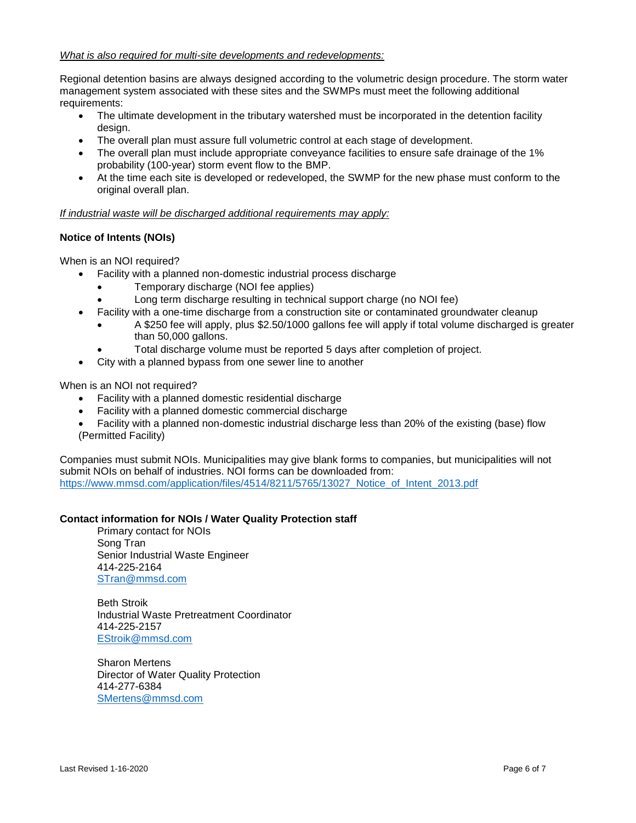### *What is also required for multi-site developments and redevelopments:*

Regional detention basins are always designed according to the volumetric design procedure. The storm water management system associated with these sites and the SWMPs must meet the following additional requirements:

- The ultimate development in the tributary watershed must be incorporated in the detention facility design.
- The overall plan must assure full volumetric control at each stage of development.
- The overall plan must include appropriate conveyance facilities to ensure safe drainage of the 1% probability (100-year) storm event flow to the BMP.
- At the time each site is developed or redeveloped, the SWMP for the new phase must conform to the original overall plan.

### *If industrial waste will be discharged additional requirements may apply:*

### **Notice of Intents (NOIs)**

When is an NOI required?

- Facility with a planned non-domestic industrial process discharge
	- Temporary discharge (NOI fee applies)
	- Long term discharge resulting in technical support charge (no NOI fee)
- Facility with a one-time discharge from a construction site or contaminated groundwater cleanup
	- A \$250 fee will apply, plus \$2.50/1000 gallons fee will apply if total volume discharged is greater than 50,000 gallons.
	- Total discharge volume must be reported 5 days after completion of project.
- City with a planned bypass from one sewer line to another

#### When is an NOI not required?

- Facility with a planned domestic residential discharge
- Facility with a planned domestic commercial discharge
- Facility with a planned non-domestic industrial discharge less than 20% of the existing (base) flow (Permitted Facility)

Companies must submit NOIs. Municipalities may give blank forms to companies, but municipalities will not submit NOIs on behalf of industries. NOI forms can be downloaded from: https://www.mmsd.com/application/files/4514/8211/5765/13027 Notice of Intent 2013.pdf

### **Contact information for NOIs / Water Quality Protection staff**

Primary contact for NOIs Song Tran Senior Industrial Waste Engineer 414-225-2164 [STran@mmsd.com](mailto:STran@mmsd.com)

Beth Stroik Industrial Waste Pretreatment Coordinator 414-225-2157 [EStroik@mmsd.com](mailto:EStroik@mmsd.com)

Sharon Mertens Director of Water Quality Protection 414-277-6384 [SMertens@mmsd.com](mailto:smertens@mmsd.com)